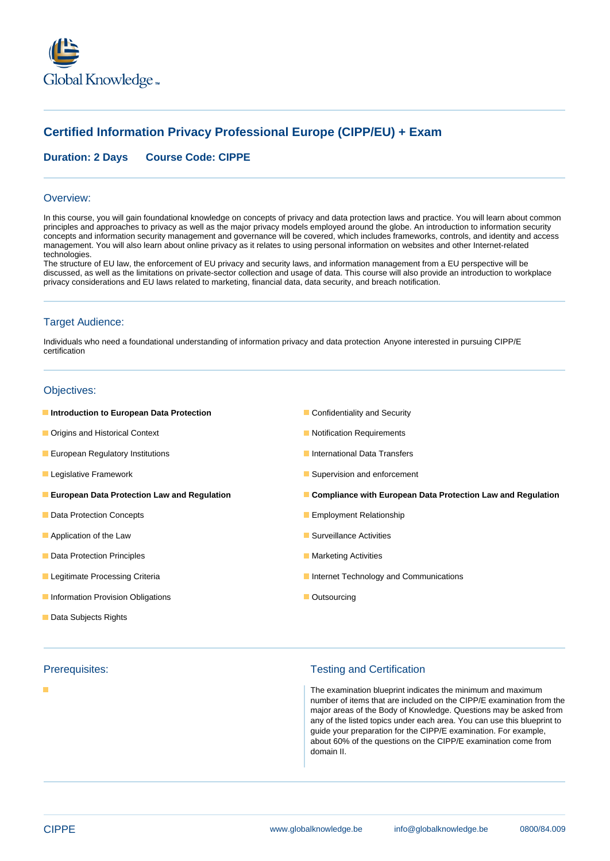

# **Certified Information Privacy Professional Europe (CIPP/EU) + Exam**

## **Duration: 2 Days Course Code: CIPPE**

#### Overview:

In this course, you will gain foundational knowledge on concepts of privacy and data protection laws and practice. You will learn about common principles and approaches to privacy as well as the major privacy models employed around the globe. An introduction to information security concepts and information security management and governance will be covered, which includes frameworks, controls, and identity and access management. You will also learn about online privacy as it relates to using personal information on websites and other Internet-related technologies.

The structure of EU law, the enforcement of EU privacy and security laws, and information management from a EU perspective will be discussed, as well as the limitations on private-sector collection and usage of data. This course will also provide an introduction to workplace privacy considerations and EU laws related to marketing, financial data, data security, and breach notification.

### Target Audience:

Individuals who need a foundational understanding of information privacy and data protection Anyone interested in pursuing CIPP/E certification

### Objectives:

- **Introduction to European Data Protection Confidentiality and Security Confidentiality and Security**
- **Origins and Historical Context Notification Requirements**
- **Example 20 European Regulatory Institutions International Data Transfers** International Data Transfers
- 
- 
- **Data Protection Concepts Employment Relationship**
- Application of the Law Surveillance Activities
- **Data Protection Principles** Marketing Activities Marketing Activities
- 
- Information Provision Obligations **Information Provision Obligations** Contract Contract Contract Contract Contract Contract Contract Contract Contract Contract Contract Contract Contract Contract Contract Contract Contract
- Data Subjects Rights
- 

#### п

- 
- 
- 
- **Legislative Framework Supervision and enforcement** Supervision and enforcement
- **European Data Protection Law and Regulation Compliance with European Data Protection Law and Regulation**
	-
	-
	-
- **Legitimate Processing Criteria Internet Technology and Communications** 
	-

### Prerequisites: Testing and Certification

The examination blueprint indicates the minimum and maximum number of items that are included on the CIPP/E examination from the major areas of the Body of Knowledge. Questions may be asked from any of the listed topics under each area. You can use this blueprint to guide your preparation for the CIPP/E examination. For example, about 60% of the questions on the CIPP/E examination come from domain II.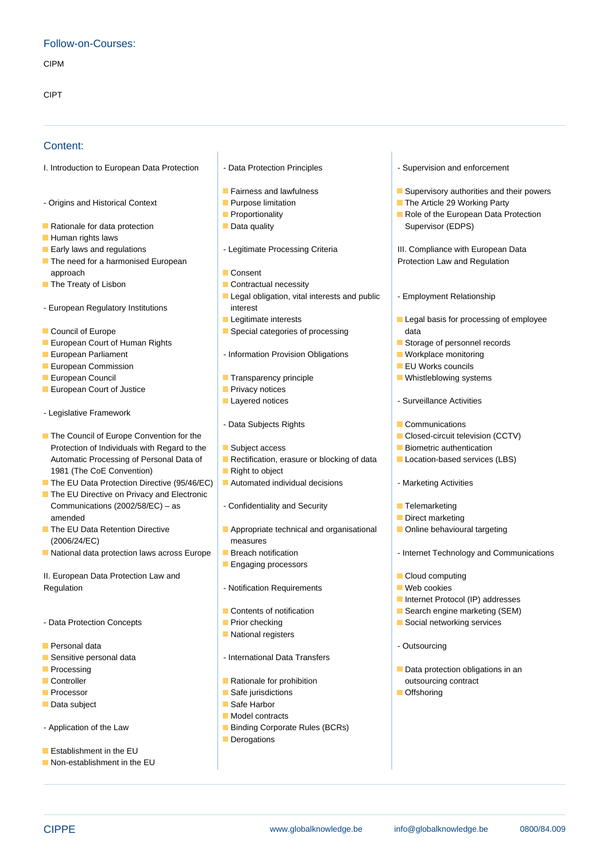## Follow-on-Courses:

CIPM

CIPT

### Content:

I. Introduction to European Data Protection | - Data Protection Principles | Supervision and enforcement

- Origins and Historical Context **Purpose limitation** Purpose limitation **Purpose Instance 29 Working Party**
- **Rationale for data protection Data quality** Development Supervisor (EDPS)
- **Human rights laws**
- 
- **The need for a harmonised European line Protection Law and Regulation Law and Regulation** approach is a consent line of the consent line of the consent line of the consent
- The Treaty of Lisbon Contractual necessity
- European Regulatory Institutions and interest
- 
- European Court of Human Rights Storage of personnel records Storage of personnel records
- 
- **European Commission** line European Commission line EU Works councils
- 
- **Exercise European Court of Justice Privacy notices**
- Legislative Framework
- The Council of Europe Convention for the line Closed-circuit television (CCTV) Protection of Individuals with Regard to the Subject access States Biometric authentication Automatic Processing of Personal Data of **Rectification, erasure or blocking of data** Location-based services (LBS) 1981 (The CoE Convention) Right to object
- The EU Data Protection Directive (95/46/EC) |■ Automated individual decisions Marketing Activities
- $\blacksquare$  The EU Directive on Privacy and Electronic Communications (2002/58/EC) – as  $\overline{\phantom{a}}$  - Confidentiality and Security  $\overline{\phantom{a}}$  Telemarketing amended **and a metallicity of the Contract of Contract of Contract of Contract of Contract of Contract of Contract of Contract of Contract of Contract of Contract of Contract of Contract of Contract of Contract of Contract**
- (2006/24/EC) measures
- **National data protection laws across Europe Breach notification Internet Technology and Communications**

II. European Data Protection Law and Cloud computing Cloud computing Cloud computing Regulation **Regulation** - Notification Requirements **Notification Requirements** 

- 
- **Personal data** Outsourcing Outsourcing Outsourcing Outsourcing Outsourcing Outsourcing Outsourcing
- 
- 
- 
- 
- Data subject Safe Harbor
- Application of the Law Binding Corporate Rules (BCRs)
- **Establishment in the EU**
- Non-establishment in the EU
- 
- 
- 
- 
- 

line line line

- 
- 
- 
- Legal obligation, vital interests and public | Employment Relationship
- 
- Council of Europe Special categories of processing and data
- **European Parliament 1996** Information Provision Obligations **Workplace monitoring**
- European Council **Transparency principle** Transparency principle **Transparency Principle** Whistleblowing systems
	-
	-
	- Data Subjects Rights **Communications** Communications
	-
	-
	-
	-
	-
- The EU Data Retention Directive <br>
Appropriate technical and organisational Online behavioural targeting
	-
	- **Engaging processors**
	-
	-
	-
	- $\blacksquare$  National registers
- Sensitive personal data and international Data Transfers
- **Controller** Controller **Rationale for prohibition Controller Contract Contract Contract EXECUTE:** Contract **CONTRACT**
- **Processor** Safe jurisdictions **Containers** Offshoring **Containers** Offshoring **Containers** Offshoring **Containers** 
	-
	- **Model contracts**
	- **Derogations**
- 
- Fairness and lawfulness Supervisory authorities and their powers
	-
- **Exercise Proportionality** Role of the European Data Protection

**Early laws and regulations According the Legitimate Processing Criteria** III. Compliance with European Data

- 
- **Legitimate interests** Legal basis for processing of employee
	-
	-
	-
	-
- Layered notices and Surveillance Activities
	-
	-
	-
	-
	-
	-
	-
	-
	-
	-
	-
	- $\blacksquare$  Internet Protocol (IP) addresses
- Contents of notification Search engine marketing (SEM)
- Data Protection Concepts Prior checking Prior checking Social networking services
	-
- **Processing line is a contract of the Data protection obligations in an except of the Data protection obligations in an except of the Data protection obligations in an except of the Data protection obligations in an except** 
	-